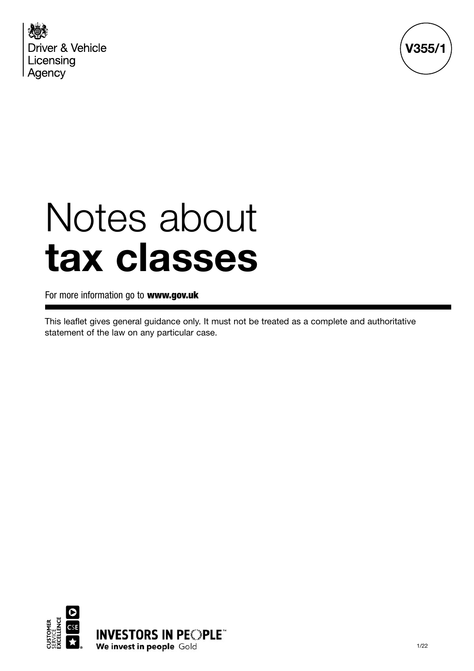



# Notes about **tax classes**

For more information go to www.gov.uk

This leaflet gives general guidance only. It must not be treated as a complete and authoritative statement of the law on any particular case.

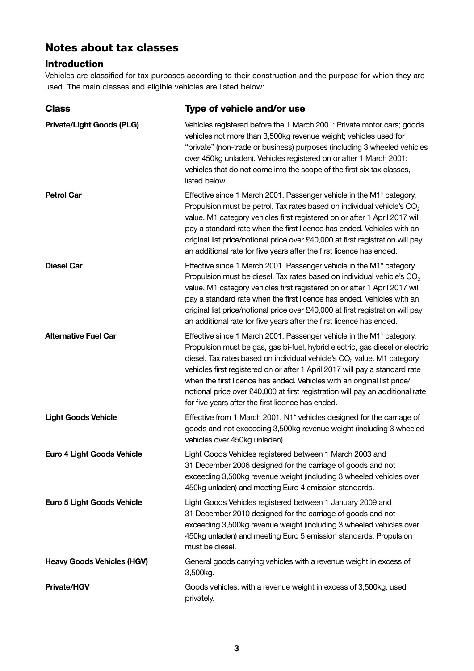# Notes about tax classes

# Introduction

Vehicles are classified for tax purposes according to their construction and the purpose for which they are used. The main classes and eligible vehicles are listed below:

| <b>Class</b>                      | Type of vehicle and/or use                                                                                                                                                                                                                                                                                                                                                                                                                                                                                                                 |
|-----------------------------------|--------------------------------------------------------------------------------------------------------------------------------------------------------------------------------------------------------------------------------------------------------------------------------------------------------------------------------------------------------------------------------------------------------------------------------------------------------------------------------------------------------------------------------------------|
| <b>Private/Light Goods (PLG)</b>  | Vehicles registered before the 1 March 2001: Private motor cars; goods<br>vehicles not more than 3,500kg revenue weight; vehicles used for<br>"private" (non-trade or business) purposes (including 3 wheeled vehicles<br>over 450kg unladen). Vehicles registered on or after 1 March 2001:<br>vehicles that do not come into the scope of the first six tax classes,<br>listed below.                                                                                                                                                    |
| <b>Petrol Car</b>                 | Effective since 1 March 2001. Passenger vehicle in the M1 <sup>*</sup> category.<br>Propulsion must be petrol. Tax rates based on individual vehicle's CO <sub>2</sub><br>value. M1 category vehicles first registered on or after 1 April 2017 will<br>pay a standard rate when the first licence has ended. Vehicles with an<br>original list price/notional price over £40,000 at first registration will pay<br>an additional rate for five years after the first licence has ended.                                                   |
| <b>Diesel Car</b>                 | Effective since 1 March 2001. Passenger vehicle in the M1* category.<br>Propulsion must be diesel. Tax rates based on individual vehicle's CO <sub>2</sub><br>value. M1 category vehicles first registered on or after 1 April 2017 will<br>pay a standard rate when the first licence has ended. Vehicles with an<br>original list price/notional price over £40,000 at first registration will pay<br>an additional rate for five years after the first licence has ended.                                                               |
| <b>Alternative Fuel Car</b>       | Effective since 1 March 2001. Passenger vehicle in the M1* category.<br>Propulsion must be gas, gas bi-fuel, hybrid electric, gas diesel or electric<br>diesel. Tax rates based on individual vehicle's CO <sub>2</sub> value. M1 category<br>vehicles first registered on or after 1 April 2017 will pay a standard rate<br>when the first licence has ended. Vehicles with an original list price/<br>notional price over £40,000 at first registration will pay an additional rate<br>for five years after the first licence has ended. |
| <b>Light Goods Vehicle</b>        | Effective from 1 March 2001. N1 <sup>*</sup> vehicles designed for the carriage of<br>goods and not exceeding 3,500kg revenue weight (including 3 wheeled<br>vehicles over 450kg unladen).                                                                                                                                                                                                                                                                                                                                                 |
| Euro 4 Light Goods Vehicle        | Light Goods Vehicles registered between 1 March 2003 and<br>31 December 2006 designed for the carriage of goods and not<br>exceeding 3,500kg revenue weight (including 3 wheeled vehicles over<br>450kg unladen) and meeting Euro 4 emission standards.                                                                                                                                                                                                                                                                                    |
| Euro 5 Light Goods Vehicle        | Light Goods Vehicles registered between 1 January 2009 and<br>31 December 2010 designed for the carriage of goods and not<br>exceeding 3,500kg revenue weight (including 3 wheeled vehicles over<br>450kg unladen) and meeting Euro 5 emission standards. Propulsion<br>must be diesel.                                                                                                                                                                                                                                                    |
| <b>Heavy Goods Vehicles (HGV)</b> | General goods carrying vehicles with a revenue weight in excess of<br>3,500kg.                                                                                                                                                                                                                                                                                                                                                                                                                                                             |
| <b>Private/HGV</b>                | Goods vehicles, with a revenue weight in excess of 3,500kg, used<br>privately.                                                                                                                                                                                                                                                                                                                                                                                                                                                             |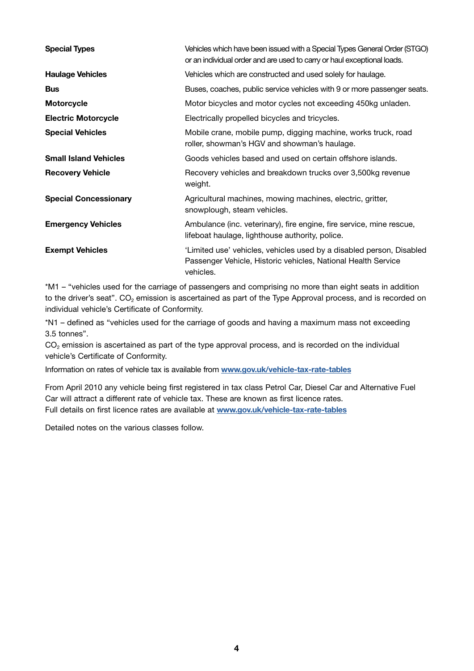| <b>Special Types</b>         | Vehicles which have been issued with a Special Types General Order (STGO)<br>or an individual order and are used to carry or haul exceptional loads. |
|------------------------------|------------------------------------------------------------------------------------------------------------------------------------------------------|
| <b>Haulage Vehicles</b>      | Vehicles which are constructed and used solely for haulage.                                                                                          |
| <b>Bus</b>                   | Buses, coaches, public service vehicles with 9 or more passenger seats.                                                                              |
| <b>Motorcycle</b>            | Motor bicycles and motor cycles not exceeding 450kg unladen.                                                                                         |
| <b>Electric Motorcycle</b>   | Electrically propelled bicycles and tricycles.                                                                                                       |
| <b>Special Vehicles</b>      | Mobile crane, mobile pump, digging machine, works truck, road<br>roller, showman's HGV and showman's haulage.                                        |
| <b>Small Island Vehicles</b> | Goods vehicles based and used on certain offshore islands.                                                                                           |
| <b>Recovery Vehicle</b>      | Recovery vehicles and breakdown trucks over 3,500kg revenue<br>weight.                                                                               |
| <b>Special Concessionary</b> | Agricultural machines, mowing machines, electric, gritter,<br>snowplough, steam vehicles.                                                            |
| <b>Emergency Vehicles</b>    | Ambulance (inc. veterinary), fire engine, fire service, mine rescue,<br>lifeboat haulage, lighthouse authority, police.                              |
| <b>Exempt Vehicles</b>       | 'Limited use' vehicles, vehicles used by a disabled person, Disabled<br>Passenger Vehicle, Historic vehicles, National Health Service<br>vehicles.   |

\*M1 – "vehicles used for the carriage of passengers and comprising no more than eight seats in addition to the driver's seat".  $CO<sub>2</sub>$  emission is ascertained as part of the Type Approval process, and is recorded on individual vehicle's Certificate of Conformity.

\*N1 – defined as "vehicles used for the carriage of goods and having a maximum mass not exceeding 3.5 tonnes".

CO<sub>2</sub> emission is ascertained as part of the type approval process, and is recorded on the individual vehicle's Certificate of Conformity.

Information on rates of vehicle tax is available from **[www.gov.uk/vehicle-tax-rate-tables](http://www.gov.uk/vehicle-tax-rate-tables)**

From April 2010 any vehicle being first registered in tax class Petrol Car, Diesel Car and Alternative Fuel Car will attract a different rate of vehicle tax. These are known as first licence rates. Full details on first licence rates are available at **[www.gov.uk/vehicle-tax-rate-tables](http://www.gov.uk/vehicle-tax-rate-tables)**

Detailed notes on the various classes follow.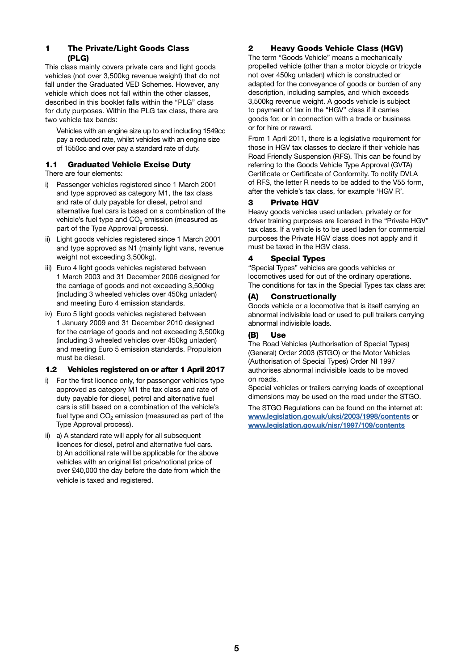# 1 The Private/Light Goods Class (PLG)

This class mainly covers private cars and light goods vehicles (not over 3,500kg revenue weight) that do not fall under the Graduated VED Schemes. However, any vehicle which does not fall within the other classes, described in this booklet falls within the "PLG" class for duty purposes. Within the PLG tax class, there are two vehicle tax bands:

Vehicles with an engine size up to and including 1549cc pay a reduced rate, whilst vehicles with an engine size of 1550cc and over pay a standard rate of duty.

# 1.1 Graduated Vehicle Excise Duty

There are four elements:

- i) Passenger vehicles registered since 1 March 2001 and type approved as category M1, the tax class and rate of duty payable for diesel, petrol and alternative fuel cars is based on a combination of the vehicle's fuel type and  $CO<sub>2</sub>$  emission (measured as part of the Type Approval process).
- ii) Light goods vehicles registered since 1 March 2001 and type approved as N1 (mainly light vans, revenue weight not exceeding 3,500kg).
- iii) Euro 4 light goods vehicles registered between 1 March 2003 and 31 December 2006 designed for the carriage of goods and not exceeding 3,500kg (including 3 wheeled vehicles over 450kg unladen) and meeting Euro 4 emission standards.
- iv) Euro 5 light goods vehicles registered between 1 January 2009 and 31 December 2010 designed for the carriage of goods and not exceeding 3,500kg (including 3 wheeled vehicles over 450kg unladen) and meeting Euro 5 emission standards. Propulsion must be diesel.

# 1.2 Vehicles registered on or after 1 April 2017

- i) For the first licence only, for passenger vehicles type approved as category M1 the tax class and rate of duty payable for diesel, petrol and alternative fuel cars is still based on a combination of the vehicle's fuel type and  $CO<sub>2</sub>$  emission (measured as part of the Type Approval process).
- ii) a) A standard rate will apply for all subsequent licences for diesel, petrol and alternative fuel cars. b) An additional rate will be applicable for the above vehicles with an original list price/notional price of over £40,000 the day before the date from which the vehicle is taxed and registered.

# 2 Heavy Goods Vehicle Class (HGV)

The term "Goods Vehicle" means a mechanically propelled vehicle (other than a motor bicycle or tricycle not over 450kg unladen) which is constructed or adapted for the conveyance of goods or burden of any description, including samples, and which exceeds 3,500kg revenue weight. A goods vehicle is subject to payment of tax in the "HGV" class if it carries goods for, or in connection with a trade or business or for hire or reward.

From 1 April 2011, there is a legislative requirement for those in HGV tax classes to declare if their vehicle has Road Friendly Suspension (RFS). This can be found by referring to the Goods Vehicle Type Approval (GVTA) Certificate or Certificate of Conformity. To notify DVLA of RFS, the letter R needs to be added to the V55 form, after the vehicle's tax class, for example 'HGV R'.

# 3 Private HGV

Heavy goods vehicles used unladen, privately or for driver training purposes are licensed in the "Private HGV" tax class. If a vehicle is to be used laden for commercial purposes the Private HGV class does not apply and it must be taxed in the HGV class.

# 4 Special Types

"Special Types" vehicles are goods vehicles or locomotives used for out of the ordinary operations. The conditions for tax in the Special Types tax class are:

# (A) Constructionally

Goods vehicle or a locomotive that is itself carrying an abnormal indivisible load or used to pull trailers carrying abnormal indivisible loads.

# (B) Use

The Road Vehicles (Authorisation of Special Types) (General) Order 2003 (STGO) or the Motor Vehicles (Authorisation of Special Types) Order NI 1997 authorises abnormal indivisible loads to be moved on roads.

Special vehicles or trailers carrying loads of exceptional dimensions may be used on the road under the STGO.

The STGO Regulations can be found on the internet at: **[www.legislation.gov.uk/uksi/2003/1998/contents](http://www.legislation.gov.uk/uksi/2003/1998/contents)** or **[www.legislation.gov.uk/nisr/1997/109/contents](http://www.legislation.gov.uk/nisr/1997/109/contents)**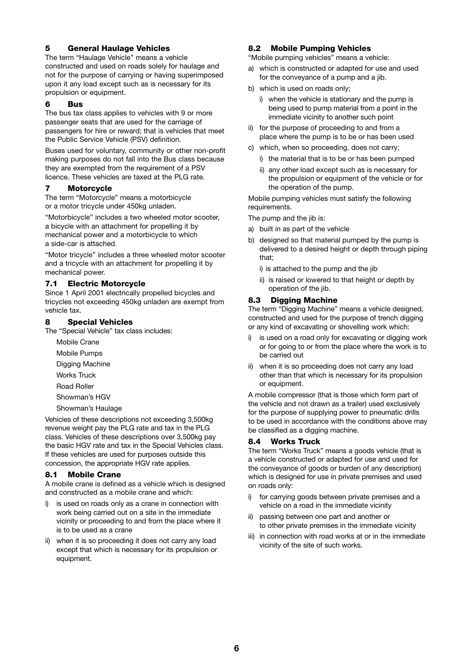# 5 General Haulage Vehicles

The term "Haulage Vehicle" means a vehicle constructed and used on roads solely for haulage and not for the purpose of carrying or having superimposed upon it any load except such as is necessary for its propulsion or equipment.

#### 6 Bus

The bus tax class applies to vehicles with 9 or more passenger seats that are used for the carriage of passengers for hire or reward; that is vehicles that meet the Public Service Vehicle (PSV) definition.

Buses used for voluntary, community or other non-profit making purposes do not fall into the Bus class because they are exempted from the requirement of a PSV licence. These vehicles are taxed at the PLG rate.

#### 7 Motorcycle

The term "Motorcycle" means a motorbicycle or a motor tricycle under 450kg unladen.

"Motorbicycle" includes a two wheeled motor scooter, a bicycle with an attachment for propelling it by mechanical power and a motorbicycle to which a side-car is attached.

"Motor tricycle" includes a three wheeled motor scooter and a tricycle with an attachment for propelling it by mechanical power.

#### 7.1 Electric Motorcycle

Since 1 April 2001 electrically propelled bicycles and tricycles not exceeding 450kg unladen are exempt from vehicle tax.

#### 8 Special Vehicles

The "Special Vehicle" tax class includes:

- Mobile Crane
- Mobile Pumps

Digging Machine

Works Truck

Road Roller

Showman's HGV

Showman's Haulage

Vehicles of these descriptions not exceeding 3,500kg revenue weight pay the PLG rate and tax in the PLG class. Vehicles of these descriptions over 3,500kg pay the basic HGV rate and tax in the Special Vehicles class. If these vehicles are used for purposes outside this concession, the appropriate HGV rate applies.

#### 8.1 Mobile Crane

A mobile crane is defined as a vehicle which is designed and constructed as a mobile crane and which:

- i) is used on roads only as a crane in connection with work being carried out on a site in the immediate vicinity or proceeding to and from the place where it is to be used as a crane
- ii) when it is so proceeding it does not carry any load except that which is necessary for its propulsion or equipment.

#### 8.2 Mobile Pumping Vehicles

"Mobile pumping vehicles" means a vehicle:

- a) which is constructed or adapted for use and used for the conveyance of a pump and a jib.
- b) which is used on roads only;
	- i) when the vehicle is stationary and the pump is being used to pump material from a point in the immediate vicinity to another such point
- ii) for the purpose of proceeding to and from a place where the pump is to be or has been used
- c) which, when so proceeding, does not carry;
	- i) the material that is to be or has been pumped
	- ii) any other load except such as is necessary for the propulsion or equipment of the vehicle or for the operation of the pump.

Mobile pumping vehicles must satisfy the following requirements.

The pump and the jib is:

- a) built in as part of the vehicle
- b) designed so that material pumped by the pump is delivered to a desired height or depth through piping that;
	- i) is attached to the pump and the jib
	- ii) is raised or lowered to that height or depth by operation of the jib.

#### 8.3 Digging Machine

The term "Digging Machine" means a vehicle designed, constructed and used for the purpose of trench digging or any kind of excavating or shovelling work which:

- i) is used on a road only for excavating or digging work or for going to or from the place where the work is to be carried out
- ii) when it is so proceeding does not carry any load other than that which is necessary for its propulsion or equipment.

A mobile compressor (that is those which form part of the vehicle and not drawn as a trailer) used exclusively for the purpose of supplying power to pneumatic drills to be used in accordance with the conditions above may be classified as a digging machine.

#### 8.4 Works Truck

The term "Works Truck" means a goods vehicle (that is a vehicle constructed or adapted for use and used for the conveyance of goods or burden of any description) which is designed for use in private premises and used on roads only:

- i) for carrying goods between private premises and a vehicle on a road in the immediate vicinity
- ii) passing between one part and another or to other private premises in the immediate vicinity
- iii) in connection with road works at or in the immediate vicinity of the site of such works.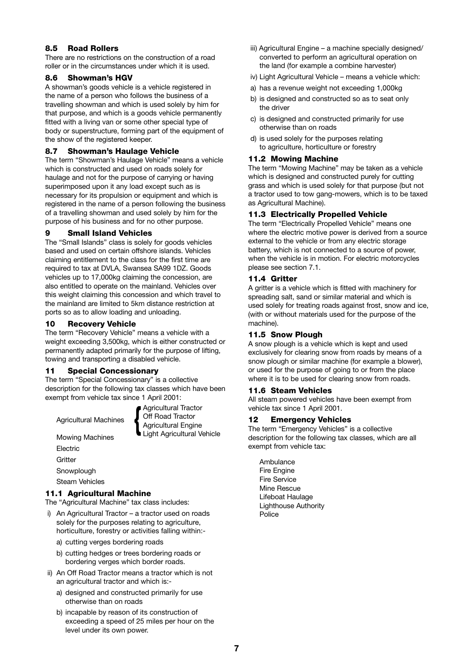# 8.5 Road Rollers

There are no restrictions on the construction of a road roller or in the circumstances under which it is used.

#### 8.6 Showman's HGV

A showman's goods vehicle is a vehicle registered in the name of a person who follows the business of a travelling showman and which is used solely by him for that purpose, and which is a goods vehicle permanently fitted with a living van or some other special type of body or superstructure, forming part of the equipment of the show of the registered keeper.

#### 8.7 Showman's Haulage Vehicle

The term "Showman's Haulage Vehicle" means a vehicle which is constructed and used on roads solely for haulage and not for the purpose of carrying or having superimposed upon it any load except such as is necessary for its propulsion or equipment and which is registered in the name of a person following the business of a travelling showman and used solely by him for the purpose of his business and for no other purpose.

# 9 Small Island Vehicles

The "Small Islands" class is solely for goods vehicles based and used on certain offshore islands. Vehicles claiming entitlement to the class for the first time are required to tax at DVLA, Swansea SA99 1DZ. Goods vehicles up to 17,000kg claiming the concession, are also entitled to operate on the mainland. Vehicles over this weight claiming this concession and which travel to the mainland are limited to 5km distance restriction at ports so as to allow loading and unloading.

# 10 Recovery Vehicle

The term "Recovery Vehicle" means a vehicle with a weight exceeding 3,500kg, which is either constructed or permanently adapted primarily for the purpose of lifting, towing and transporting a disabled vehicle.

# 11 Special Concessionary

The term "Special Concessionary" is a collective description for the following tax classes which have been exempt from vehicle tax since 1 April 2001:

> Agricultural Tractor Off Road Tractor Agricultural Engine Light Agricultural Vehicle

Mowing Machines

Agricultural Machines

Electric

**Gritter** 

Snowplough Steam Vehicles

# 11.1 Agricultural Machine

The "Agricultural Machine" tax class includes:

- i) An Agricultural Tractor a tractor used on roads solely for the purposes relating to agriculture, horticulture, forestry or activities falling within:
	- a) cutting verges bordering roads
	- b) cutting hedges or trees bordering roads or bordering verges which border roads.
- ii) An Off Road Tractor means a tractor which is not an agricultural tractor and which is:
	- a) designed and constructed primarily for use otherwise than on roads
	- b) incapable by reason of its construction of exceeding a speed of 25 miles per hour on the level under its own power.
- iii) Agricultural Engine a machine specially designed/ converted to perform an agricultural operation on the land (for example a combine harvester)
- iv) Light Agricultural Vehicle means a vehicle which:
- a) has a revenue weight not exceeding 1,000kg
- b) is designed and constructed so as to seat only the driver
- c) is designed and constructed primarily for use otherwise than on roads
- d) is used solely for the purposes relating to agriculture, horticulture or forestry

# 11.2 Mowing Machine

The term "Mowing Machine" may be taken as a vehicle which is designed and constructed purely for cutting grass and which is used solely for that purpose (but not a tractor used to tow gang-mowers, which is to be taxed as Agricultural Machine).

# 11.3 Electrically Propelled Vehicle

The term "Electrically Propelled Vehicle" means one where the electric motive power is derived from a source external to the vehicle or from any electric storage battery, which is not connected to a source of power, when the vehicle is in motion. For electric motorcycles please see section 7.1.

#### 11.4 Gritter

A gritter is a vehicle which is fitted with machinery for spreading salt, sand or similar material and which is used solely for treating roads against frost, snow and ice, (with or without materials used for the purpose of the machine).

#### 11.5 Snow Plough

A snow plough is a vehicle which is kept and used exclusively for clearing snow from roads by means of a snow plough or similar machine (for example a blower), or used for the purpose of going to or from the place where it is to be used for clearing snow from roads.

# 11.6 Steam Vehicles

All steam powered vehicles have been exempt from vehicle tax since 1 April 2001.

# 12 Emergency Vehicles

The term "Emergency Vehicles" is a collective description for the following tax classes, which are all exempt from vehicle tax:

Ambulance Fire Engine Fire Service Mine Rescue Lifeboat Haulage Lighthouse Authority Police